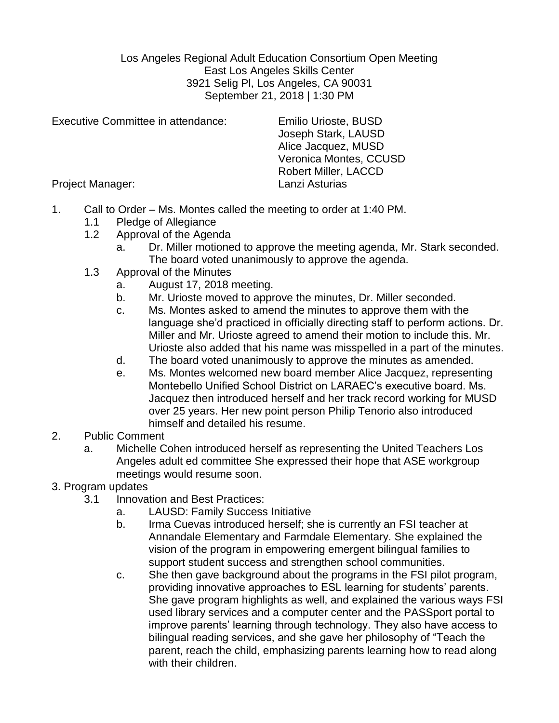Los Angeles Regional Adult Education Consortium Open Meeting East Los Angeles Skills Center 3921 Selig Pl, Los Angeles, CA 90031 September 21, 2018 | 1:30 PM

Executive Committee in attendance: Emilio Urioste, BUSD

Joseph Stark, LAUSD Alice Jacquez, MUSD Veronica Montes, CCUSD Robert Miller, LACCD

Project Manager: Lanzi Asturias

- 1. Call to Order Ms. Montes called the meeting to order at 1:40 PM.
	- 1.1 Pledge of Allegiance
	- 1.2 Approval of the Agenda
		- a. Dr. Miller motioned to approve the meeting agenda, Mr. Stark seconded. The board voted unanimously to approve the agenda.
	- 1.3 Approval of the Minutes
		- a. August 17, 2018 meeting.
		- b. Mr. Urioste moved to approve the minutes, Dr. Miller seconded.
		- c. Ms. Montes asked to amend the minutes to approve them with the language she'd practiced in officially directing staff to perform actions. Dr. Miller and Mr. Urioste agreed to amend their motion to include this. Mr. Urioste also added that his name was misspelled in a part of the minutes.
		- d. The board voted unanimously to approve the minutes as amended.
		- e. Ms. Montes welcomed new board member Alice Jacquez, representing Montebello Unified School District on LARAEC's executive board. Ms. Jacquez then introduced herself and her track record working for MUSD over 25 years. Her new point person Philip Tenorio also introduced himself and detailed his resume.
- 2. Public Comment
	- a. Michelle Cohen introduced herself as representing the United Teachers Los Angeles adult ed committee She expressed their hope that ASE workgroup meetings would resume soon.
- 3. Program updates
	- 3.1 Innovation and Best Practices:
		- a. LAUSD: Family Success Initiative
		- b. Irma Cuevas introduced herself; she is currently an FSI teacher at Annandale Elementary and Farmdale Elementary. She explained the vision of the program in empowering emergent bilingual families to support student success and strengthen school communities.
		- c. She then gave background about the programs in the FSI pilot program, providing innovative approaches to ESL learning for students' parents. She gave program highlights as well, and explained the various ways FSI used library services and a computer center and the PASSport portal to improve parents' learning through technology. They also have access to bilingual reading services, and she gave her philosophy of "Teach the parent, reach the child, emphasizing parents learning how to read along with their children.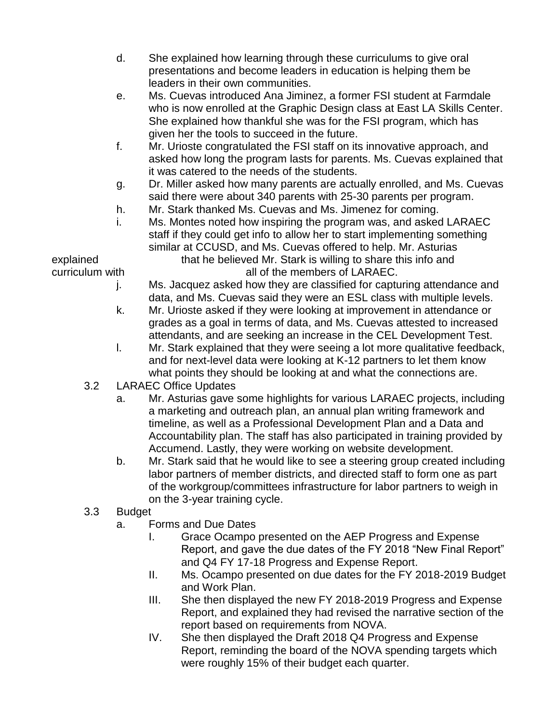- d. She explained how learning through these curriculums to give oral presentations and become leaders in education is helping them be leaders in their own communities.
- e. Ms. Cuevas introduced Ana Jiminez, a former FSI student at Farmdale who is now enrolled at the Graphic Design class at East LA Skills Center. She explained how thankful she was for the FSI program, which has given her the tools to succeed in the future.
- f. Mr. Urioste congratulated the FSI staff on its innovative approach, and asked how long the program lasts for parents. Ms. Cuevas explained that it was catered to the needs of the students.
- g. Dr. Miller asked how many parents are actually enrolled, and Ms. Cuevas said there were about 340 parents with 25-30 parents per program.
- h. Mr. Stark thanked Ms. Cuevas and Ms. Jimenez for coming.
- i. Ms. Montes noted how inspiring the program was, and asked LARAEC staff if they could get info to allow her to start implementing something similar at CCUSD, and Ms. Cuevas offered to help. Mr. Asturias

explained that he believed Mr. Stark is willing to share this info and curriculum with all of the members of LARAEC.

- j. Ms. Jacquez asked how they are classified for capturing attendance and data, and Ms. Cuevas said they were an ESL class with multiple levels.
- k. Mr. Urioste asked if they were looking at improvement in attendance or grades as a goal in terms of data, and Ms. Cuevas attested to increased attendants, and are seeking an increase in the CEL Development Test.
- l. Mr. Stark explained that they were seeing a lot more qualitative feedback, and for next-level data were looking at K-12 partners to let them know what points they should be looking at and what the connections are.
- 3.2 LARAEC Office Updates
	- a. Mr. Asturias gave some highlights for various LARAEC projects, including a marketing and outreach plan, an annual plan writing framework and timeline, as well as a Professional Development Plan and a Data and Accountability plan. The staff has also participated in training provided by Accumend. Lastly, they were working on website development.
	- b. Mr. Stark said that he would like to see a steering group created including labor partners of member districts, and directed staff to form one as part of the workgroup/committees infrastructure for labor partners to weigh in on the 3-year training cycle.

## 3.3 Budget

- a. Forms and Due Dates
	- I. Grace Ocampo presented on the AEP Progress and Expense Report, and gave the due dates of the FY 2018 "New Final Report" and Q4 FY 17-18 Progress and Expense Report.
	- II. Ms. Ocampo presented on due dates for the FY 2018-2019 Budget and Work Plan.
	- III. She then displayed the new FY 2018-2019 Progress and Expense Report, and explained they had revised the narrative section of the report based on requirements from NOVA.
	- IV. She then displayed the Draft 2018 Q4 Progress and Expense Report, reminding the board of the NOVA spending targets which were roughly 15% of their budget each quarter.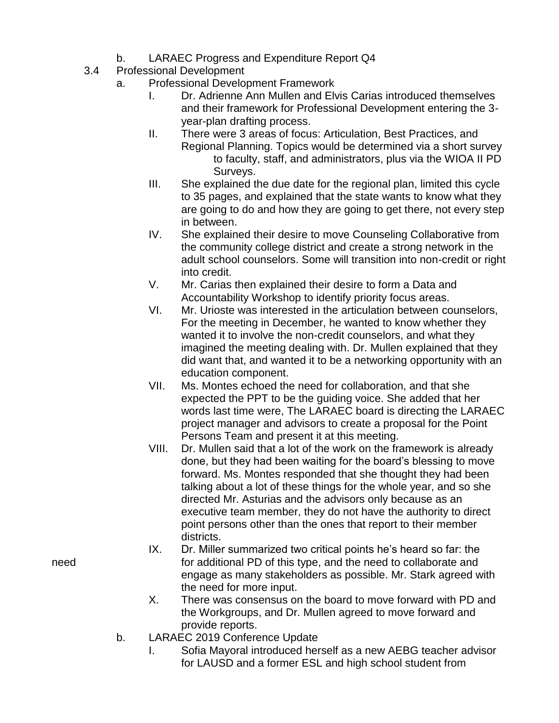- b. LARAEC Progress and Expenditure Report Q4
- 3.4 Professional Development
	- a. Professional Development Framework
		- I. Dr. Adrienne Ann Mullen and Elvis Carias introduced themselves and their framework for Professional Development entering the 3 year-plan drafting process.
		- II. There were 3 areas of focus: Articulation, Best Practices, and Regional Planning. Topics would be determined via a short survey to faculty, staff, and administrators, plus via the WIOA II PD Surveys.
		- III. She explained the due date for the regional plan, limited this cycle to 35 pages, and explained that the state wants to know what they are going to do and how they are going to get there, not every step in between.
		- IV. She explained their desire to move Counseling Collaborative from the community college district and create a strong network in the adult school counselors. Some will transition into non-credit or right into credit.
		- V. Mr. Carias then explained their desire to form a Data and Accountability Workshop to identify priority focus areas.
		- VI. Mr. Urioste was interested in the articulation between counselors, For the meeting in December, he wanted to know whether they wanted it to involve the non-credit counselors, and what they imagined the meeting dealing with. Dr. Mullen explained that they did want that, and wanted it to be a networking opportunity with an education component.
		- VII. Ms. Montes echoed the need for collaboration, and that she expected the PPT to be the guiding voice. She added that her words last time were, The LARAEC board is directing the LARAEC project manager and advisors to create a proposal for the Point Persons Team and present it at this meeting.
		- VIII. Dr. Mullen said that a lot of the work on the framework is already done, but they had been waiting for the board's blessing to move forward. Ms. Montes responded that she thought they had been talking about a lot of these things for the whole year, and so she directed Mr. Asturias and the advisors only because as an executive team member, they do not have the authority to direct point persons other than the ones that report to their member districts.
- IX. Dr. Miller summarized two critical points he's heard so far: the need for additional PD of this type, and the need to collaborate and engage as many stakeholders as possible. Mr. Stark agreed with the need for more input.
	- X. There was consensus on the board to move forward with PD and the Workgroups, and Dr. Mullen agreed to move forward and provide reports.
	- b. LARAEC 2019 Conference Update
		- I. Sofia Mayoral introduced herself as a new AEBG teacher advisor for LAUSD and a former ESL and high school student from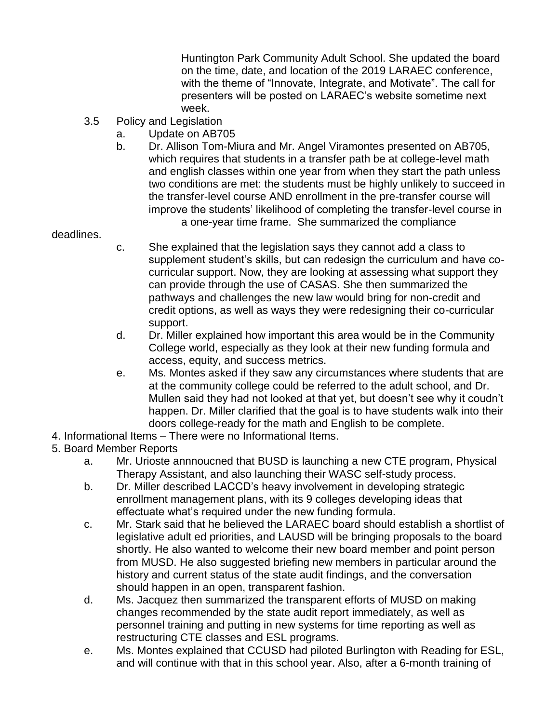Huntington Park Community Adult School. She updated the board on the time, date, and location of the 2019 LARAEC conference, with the theme of "Innovate, Integrate, and Motivate". The call for presenters will be posted on LARAEC's website sometime next week.

- 3.5 Policy and Legislation
	- a. Update on AB705
	- b. Dr. Allison Tom-Miura and Mr. Angel Viramontes presented on AB705, which requires that students in a transfer path be at college-level math and english classes within one year from when they start the path unless two conditions are met: the students must be highly unlikely to succeed in the transfer-level course AND enrollment in the pre-transfer course will improve the students' likelihood of completing the transfer-level course in
		- a one-year time frame. She summarized the compliance

## deadlines.

- c. She explained that the legislation says they cannot add a class to supplement student's skills, but can redesign the curriculum and have cocurricular support. Now, they are looking at assessing what support they can provide through the use of CASAS. She then summarized the pathways and challenges the new law would bring for non-credit and credit options, as well as ways they were redesigning their co-curricular support.
- d. Dr. Miller explained how important this area would be in the Community College world, especially as they look at their new funding formula and access, equity, and success metrics.
- e. Ms. Montes asked if they saw any circumstances where students that are at the community college could be referred to the adult school, and Dr. Mullen said they had not looked at that yet, but doesn't see why it coudn't happen. Dr. Miller clarified that the goal is to have students walk into their doors college-ready for the math and English to be complete.
- 4. Informational Items There were no Informational Items.

## 5. Board Member Reports

- a. Mr. Urioste annnoucned that BUSD is launching a new CTE program, Physical Therapy Assistant, and also launching their WASC self-study process.
- b. Dr. Miller described LACCD's heavy involvement in developing strategic enrollment management plans, with its 9 colleges developing ideas that effectuate what's required under the new funding formula.
- c. Mr. Stark said that he believed the LARAEC board should establish a shortlist of legislative adult ed priorities, and LAUSD will be bringing proposals to the board shortly. He also wanted to welcome their new board member and point person from MUSD. He also suggested briefing new members in particular around the history and current status of the state audit findings, and the conversation should happen in an open, transparent fashion.
- d. Ms. Jacquez then summarized the transparent efforts of MUSD on making changes recommended by the state audit report immediately, as well as personnel training and putting in new systems for time reporting as well as restructuring CTE classes and ESL programs.
- e. Ms. Montes explained that CCUSD had piloted Burlington with Reading for ESL, and will continue with that in this school year. Also, after a 6-month training of